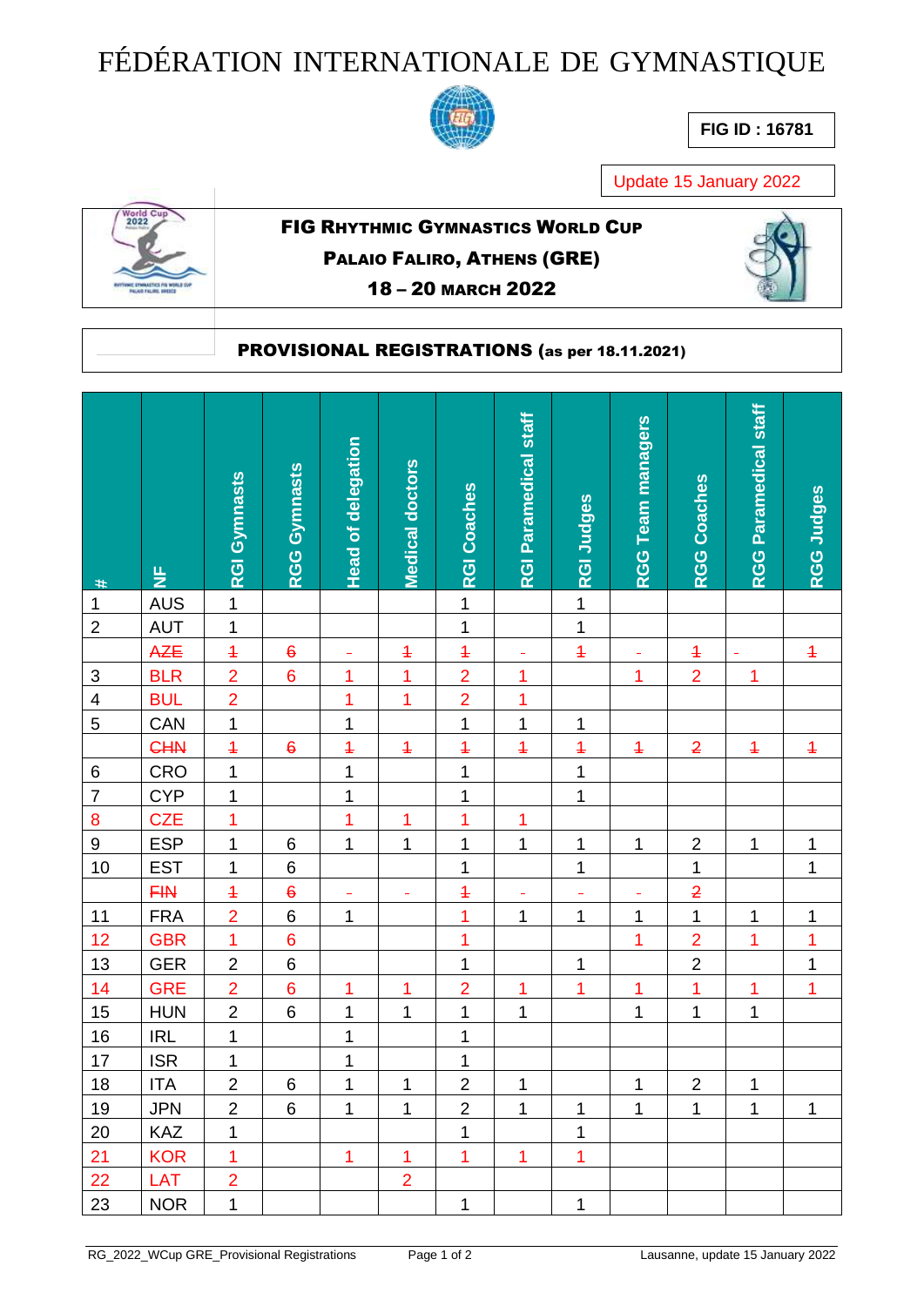## FÉDÉRATION INTERNATIONALE DE GYMNASTIQUE



**FIG ID : 16781**

Update 15 January 2022



## FIG RHYTHMIC GYMNASTICS WORLD CUP PALAIO FALIRO, ATHENS (GRE) 18 – 20 MARCH 2022



## PROVISIONAL REGISTRATIONS (as per 18.11.2021)

|                           |                                 | <b>RGI Gymnasts</b> | RGG Gymnasts     | <b>Head of delegation</b> | <b>Medical doctors</b> | <b>RGI Coaches</b> | <b>RGI Paramedical staff</b> | <b>RGI Judges</b> | <b>RGG Team managers</b> | <b>RGG Coaches</b> | RGG Paramedical staff | RGG Judges     |
|---------------------------|---------------------------------|---------------------|------------------|---------------------------|------------------------|--------------------|------------------------------|-------------------|--------------------------|--------------------|-----------------------|----------------|
| $\ast$                    | $\frac{\mathsf{L}}{\mathsf{L}}$ |                     |                  |                           |                        |                    |                              |                   |                          |                    |                       |                |
| $\mathbf{1}$              | <b>AUS</b>                      | $\mathbf{1}$        |                  |                           |                        | $\mathbf{1}$       |                              | $\overline{1}$    |                          |                    |                       |                |
| $\overline{2}$            | <b>AUT</b>                      | $\mathbf{1}$        |                  |                           |                        | $\overline{1}$     |                              | $\overline{1}$    |                          |                    |                       |                |
|                           | AZE                             | $\overline{+}$      | $\boldsymbol{6}$ | ÷                         | $\overline{1}$         | $\overline{+}$     | $\equiv$                     | $\overline{1}$    | $\equiv$                 | $\overline{1}$     | $\equiv$              | $\overline{1}$ |
| $\ensuremath{\mathsf{3}}$ | <b>BLR</b>                      | $\overline{2}$      | $6\phantom{a}$   | $\overline{1}$            | $\overline{1}$         | $\overline{2}$     | 1                            |                   | 1                        | $\overline{2}$     | 1                     |                |
| $\overline{\mathbf{4}}$   | <b>BUL</b>                      | $\overline{2}$      |                  | $\overline{1}$            | $\overline{1}$         | $\overline{2}$     | $\overline{1}$               |                   |                          |                    |                       |                |
| 5                         | CAN                             | $\mathbf{1}$        |                  | $\mathbf 1$               |                        | $\overline{1}$     | $\mathbf 1$                  | 1                 |                          |                    |                       |                |
|                           | <b>CHN</b>                      | $\overline{+}$      | $\epsilon$       | $\overline{1}$            | $\ddagger$             | $\overline{1}$     | $\overline{1}$               | $\overline{1}$    | $\overline{+}$           | $\overline{2}$     | $\ddagger$            | $\overline{+}$ |
| 6                         | CRO                             | $\mathbf{1}$        |                  | $\overline{1}$            |                        | $\overline{1}$     |                              | $\overline{1}$    |                          |                    |                       |                |
| $\overline{\mathbf{7}}$   | <b>CYP</b>                      | $\mathbf 1$         |                  | $\mathbf 1$               |                        | $\mathbf 1$        |                              | $\mathbf 1$       |                          |                    |                       |                |
| 8                         | <b>CZE</b>                      | 1                   |                  | $\overline{1}$            | 1                      | $\overline{1}$     | 1                            |                   |                          |                    |                       |                |
| $\boldsymbol{9}$          | <b>ESP</b>                      | $\mathbf 1$         | $\,$ 6           | $\overline{1}$            | $\mathbf 1$            | 1                  | $\mathbf 1$                  | 1                 | $\mathbf{1}$             | $\overline{2}$     | 1                     | $\mathbf 1$    |
| 10                        | <b>EST</b>                      | $\mathbf 1$         | $\,$ 6 $\,$      |                           |                        | $\mathbf{1}$       |                              | $\mathbf 1$       |                          | $\mathbf 1$        |                       | $\mathbf 1$    |
|                           | <b>FIN</b>                      | $\overline{+}$      | $\ddot{\theta}$  | ۳                         | ÷                      | $\overline{1}$     |                              | ÷                 |                          | $\overline{2}$     |                       |                |
| $11$                      | <b>FRA</b>                      | $\overline{2}$      | $\overline{6}$   | $\mathbf 1$               |                        | $\overline{1}$     | $\mathbf 1$                  | $\overline{1}$    | $\mathbf{1}$             | $\overline{1}$     | 1                     | $\mathbf 1$    |
| 12                        | <b>GBR</b>                      | $\overline{1}$      | $\bf 6$          |                           |                        | $\overline{1}$     |                              |                   | 1                        | $\overline{2}$     | 1                     | $\overline{1}$ |
| 13                        | <b>GER</b>                      | $\overline{c}$      | $\,$ 6 $\,$      |                           |                        | 1                  |                              | 1                 |                          | $\overline{2}$     |                       | $\mathbf 1$    |
| 14                        | <b>GRE</b>                      | $\overline{2}$      | $\bf 6$          | 1                         | 1                      | $\overline{2}$     | 1                            | $\overline{1}$    | 1                        | $\overline{1}$     | 1                     | $\overline{1}$ |
| 15                        | <b>HUN</b>                      | $\overline{2}$      | $\,6$            | $\mathbf 1$               | $\mathbf 1$            | $\overline{1}$     | $\overline{1}$               |                   | 1                        | $\overline{1}$     | $\mathbf 1$           |                |
| 16                        | <b>IRL</b>                      | $\overline{1}$      |                  | $\mathbf 1$               |                        | $\overline{1}$     |                              |                   |                          |                    |                       |                |
| 17                        | <b>ISR</b>                      | $\mathbf 1$         |                  | $\mathbf 1$               |                        | $\overline{1}$     |                              |                   |                          |                    |                       |                |
| $\overline{18}$           | <b>ITA</b>                      | $\overline{2}$      | 6                | $\overline{1}$            | $\mathbf{1}$           | $\overline{2}$     | $\mathbf{1}$                 |                   | $\mathbf{1}$             | $\overline{2}$     | 1                     |                |
| 19                        | <b>JPN</b>                      | $\overline{2}$      | 6                | $\mathbf{1}$              | $\mathbf{1}$           | $\overline{2}$     | $\mathbf{1}$                 | $\mathbf{1}$      | $\mathbf{1}$             | $\mathbf{1}$       | $\mathbf{1}$          | $\mathbf{1}$   |
| 20                        | <b>KAZ</b>                      | $\mathbf{1}$        |                  |                           |                        | 1                  |                              | $\mathbf 1$       |                          |                    |                       |                |
| 21                        | <b>KOR</b>                      | $\overline{1}$      |                  | 1                         | 1                      | 1                  | 1                            | 1                 |                          |                    |                       |                |
| 22                        | <b>LAT</b>                      | $\overline{2}$      |                  |                           | $\overline{2}$         |                    |                              |                   |                          |                    |                       |                |
| 23                        | <b>NOR</b>                      | $\mathbf 1$         |                  |                           |                        | 1                  |                              | 1                 |                          |                    |                       |                |